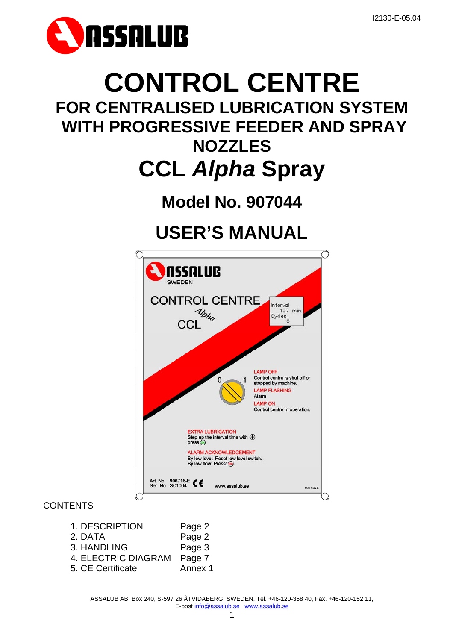

# **CONTROL CENTRE**

### **FOR CENTRALISED LUBRICATION SYSTEM WITH PROGRESSIVE FEEDER AND SPRAY NOZZLES**

## **CCL** *Alpha* **Spray**

## **Model No. 907044**

## **USER'S MANUAL**



#### **CONTENTS**

- 1. DESCRIPTION Page 2 2. DATA Page 2 3. HANDLING Page 3 4. ELECTRIC DIAGRAM Page 7
- 5. CE Certificate Annex 1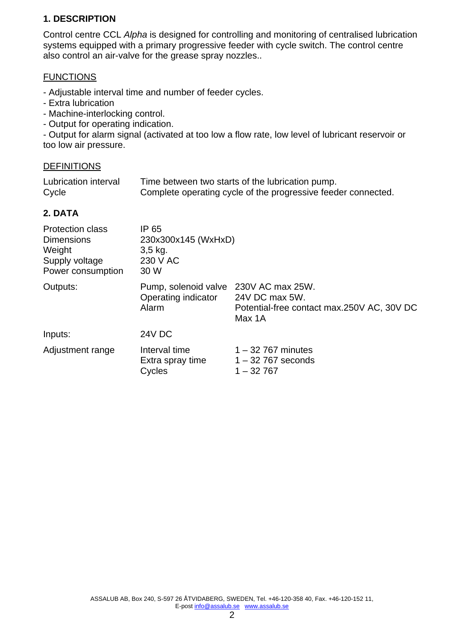#### **1. DESCRIPTION**

Control centre CCL *Alpha* is designed for controlling and monitoring of centralised lubrication systems equipped with a primary progressive feeder with cycle switch. The control centre also control an air-valve for the grease spray nozzles..

#### **FUNCTIONS**

- Adjustable interval time and number of feeder cycles.

- Extra lubrication
- Machine-interlocking control.
- Output for operating indication.

- Output for alarm signal (activated at too low a flow rate, low level of lubricant reservoir or too low air pressure.

#### DEFINITIONS

| Lubrication interval | Time between two starts of the lubrication pump.              |
|----------------------|---------------------------------------------------------------|
| Cycle                | Complete operating cycle of the progressive feeder connected. |

#### **2. DATA**

| <b>Protection class</b><br><b>Dimensions</b><br>Weight<br>Supply voltage<br>Power consumption | IP 65<br>230x300x145 (WxHxD)<br>$3,5$ kg.<br>230 V AC<br>30 W         |                                                                        |  |
|-----------------------------------------------------------------------------------------------|-----------------------------------------------------------------------|------------------------------------------------------------------------|--|
| Outputs:                                                                                      | Pump, solenoid valve 230V AC max 25W.<br>Operating indicator<br>Alarm | 24V DC max 5W.<br>Potential-free contact max.250V AC, 30V DC<br>Max 1A |  |
| Inputs:                                                                                       | <b>24V DC</b>                                                         |                                                                        |  |
| Adjustment range                                                                              | Interval time<br>Extra spray time<br>Cycles                           | $1 - 32$ 767 minutes<br>$1 - 32$ 767 seconds<br>$1 - 32767$            |  |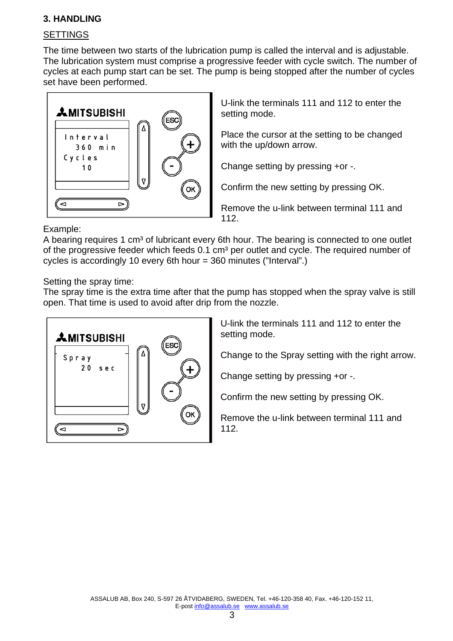#### **3. HANDLING**

#### **SETTINGS**

The time between two starts of the lubrication pump is called the interval and is adjustable. The lubrication system must comprise a progressive feeder with cycle switch. The number of cycles at each pump start can be set. The pump is being stopped after the number of cycles set have been performed.



U-link the terminals 111 and 112 to enter the setting mode.

Place the cursor at the setting to be changed with the up/down arrow.

Change setting by pressing +or -.

Confirm the new setting by pressing OK.

Remove the u-link between terminal 111 and 112.

Example:

A bearing requires 1 cm<sup>3</sup> of lubricant every 6th hour. The bearing is connected to one outlet of the progressive feeder which feeds 0.1 cm<sup>3</sup> per outlet and cycle. The required number of cycles is accordingly 10 every 6th hour = 360 minutes ("Interval".)

Setting the spray time:

The spray time is the extra time after that the pump has stopped when the spray valve is still open. That time is used to avoid after drip from the nozzle.



U-link the terminals 111 and 112 to enter the setting mode.

Change to the Spray setting with the right arrow.

Change setting by pressing +or -.

Confirm the new setting by pressing OK.

Remove the u-link between terminal 111 and 112.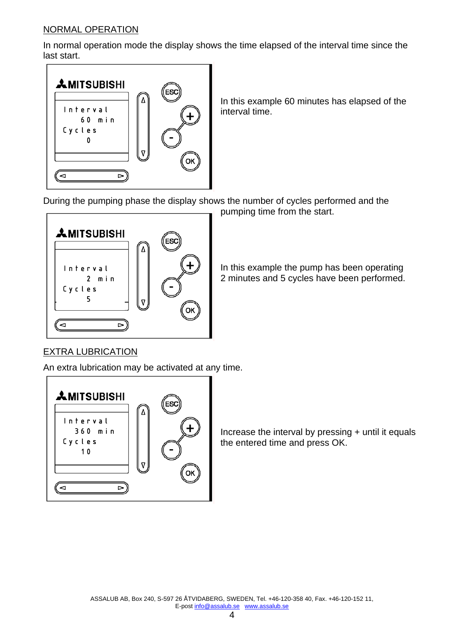#### NORMAL OPERATION

In normal operation mode the display shows the time elapsed of the interval time since the last start.



In this example 60 minutes has elapsed of the interval time.

During the pumping phase the display shows the number of cycles performed and the pumping time from the start.



In this example the pump has been operating 2 minutes and 5 cycles have been performed.

#### EXTRA LUBRICATION

An extra lubrication may be activated at any time.



Increase the interval by pressing + until it equals the entered time and press OK.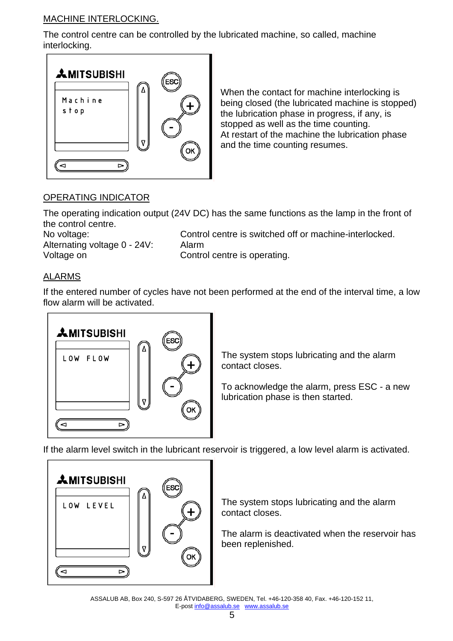#### MACHINE INTERLOCKING.

The control centre can be controlled by the lubricated machine, so called, machine interlocking.



When the contact for machine interlocking is being closed (the lubricated machine is stopped) the lubrication phase in progress, if any, is stopped as well as the time counting. At restart of the machine the lubrication phase and the time counting resumes.

#### OPERATING INDICATOR

The operating indication output (24V DC) has the same functions as the lamp in the front of the control centre.

Alternating voltage 0 - 24V: Alarm Voltage on Control centre is operating.

No voltage: Control centre is switched off or machine-interlocked.

#### ALARMS

If the entered number of cycles have not been performed at the end of the interval time, a low flow alarm will be activated.



The system stops lubricating and the alarm contact closes.

To acknowledge the alarm, press ESC - a new lubrication phase is then started.

If the alarm level switch in the lubricant reservoir is triggered, a low level alarm is activated.



The system stops lubricating and the alarm contact closes.

The alarm is deactivated when the reservoir has been replenished.

ASSALUB AB, Box 240, S-597 26 ÅTVIDABERG, SWEDEN, Tel. +46-120-358 40, Fax. +46-120-152 11, E-post info@assalub.se www.assalub.se